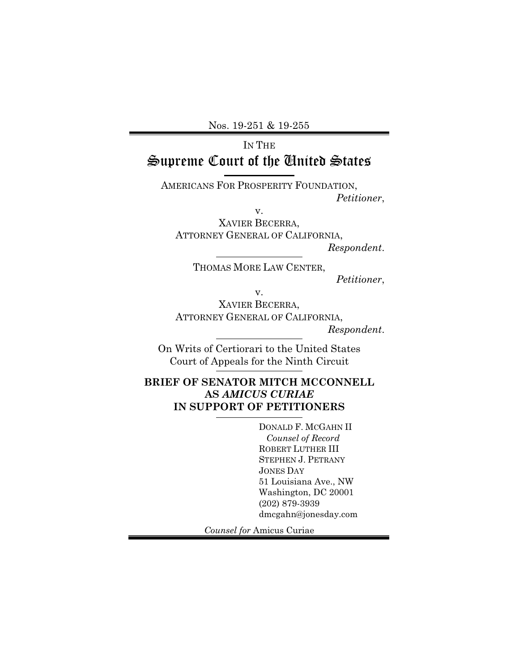Nos. 19-251 & 19-255

# IN THE Supreme Court of the United States

AMERICANS FOR PROSPERITY FOUNDATION, *Petitioner*,

v.

XAVIER BECERRA, ATTORNEY GENERAL OF CALIFORNIA, *Respondent*.

THOMAS MORE LAW CENTER,

*Petitioner*,

v.

XAVIER BECERRA, ATTORNEY GENERAL OF CALIFORNIA, *Respondent*.

On Writs of Certiorari to the United States Court of Appeals for the Ninth Circuit

## **BRIEF OF SENATOR MITCH MCCONNELL AS** *AMICUS CURIAE* **IN SUPPORT OF PETITIONERS**

DONALD F. MCGAHN II  *Counsel of Record* ROBERT LUTHER III STEPHEN J. PETRANY JONES DAY 51 Louisiana Ave., NW Washington, DC 20001 (202) 879-3939 dmcgahn@jonesday.com

*Counsel for* Amicus Curiae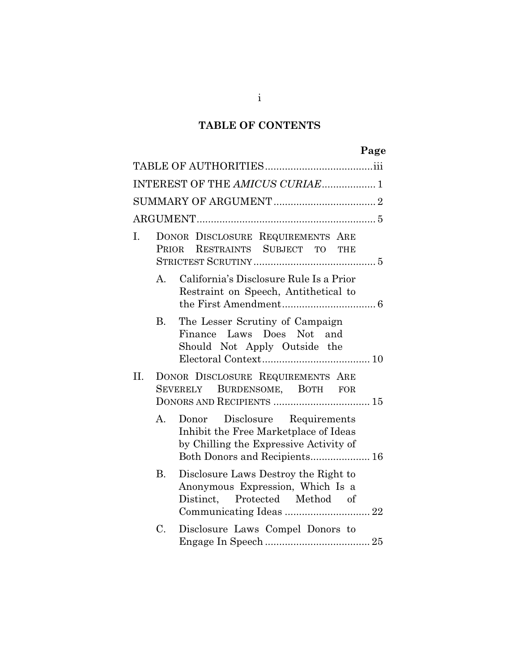# **TABLE OF CONTENTS**

|     |                 | INTEREST OF THE AMICUS CURIAE 1                                                                                                                   |
|-----|-----------------|---------------------------------------------------------------------------------------------------------------------------------------------------|
|     |                 |                                                                                                                                                   |
|     |                 |                                                                                                                                                   |
| Ī.  |                 | DONOR DISCLOSURE REQUIREMENTS ARE<br>PRIOR RESTRAINTS SUBJECT TO THE                                                                              |
|     | А.              | California's Disclosure Rule Is a Prior<br>Restraint on Speech, Antithetical to                                                                   |
|     | В.              | The Lesser Scrutiny of Campaign<br>Finance Laws Does Not and<br>Should Not Apply Outside the                                                      |
| II. |                 | DONOR DISCLOSURE REQUIREMENTS ARE<br>SEVERELY BURDENSOME, BOTH FOR                                                                                |
|     | А.              | Donor Disclosure Requirements<br>Inhibit the Free Marketplace of Ideas<br>by Chilling the Expressive Activity of<br>Both Donors and Recipients 16 |
|     | <b>B.</b>       | Disclosure Laws Destroy the Right to<br>Anonymous Expression, Which Is a<br>Distinct, Protected Method of                                         |
|     | $\mathcal{C}$ . | Disclosure Laws Compel Donors to                                                                                                                  |

i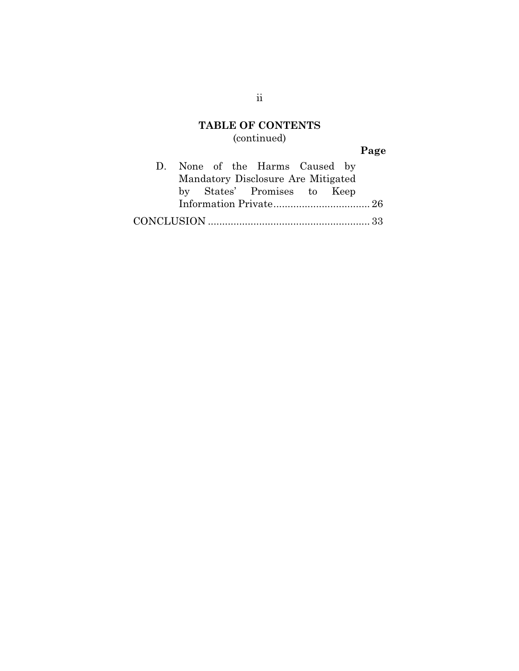# **TABLE OF CONTENTS** (continued)

# **Page**

|  |  | D. None of the Harms Caused by     |  |  |
|--|--|------------------------------------|--|--|
|  |  | Mandatory Disclosure Are Mitigated |  |  |
|  |  | by States' Promises to Keep        |  |  |
|  |  |                                    |  |  |
|  |  |                                    |  |  |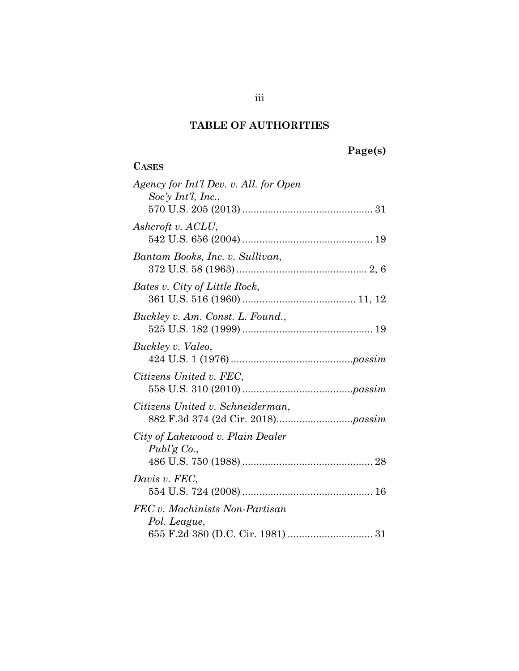# **TABLE OF AUTHORITIES**

**CASES**

# **Page(s)**

| Agency for Int'l Dev. v. All. for Open<br>$Soc'y$ Int'l, Inc., |
|----------------------------------------------------------------|
|                                                                |
| Ashcroft v. ACLU,                                              |
| Bantam Books, Inc. v. Sullivan,                                |
| Bates v. City of Little Rock,                                  |
| Buckley v. Am. Const. L. Found.,                               |
| Buckley v. Valeo,                                              |
| Citizens United v. FEC,                                        |
| Citizens United v. Schneiderman,                               |
| City of Lakewood v. Plain Dealer<br>Publ'g $Co.$               |
| Davis v. FEC,                                                  |
| FEC v. Machinists Non-Partisan<br>Pol. League,                 |
|                                                                |

iii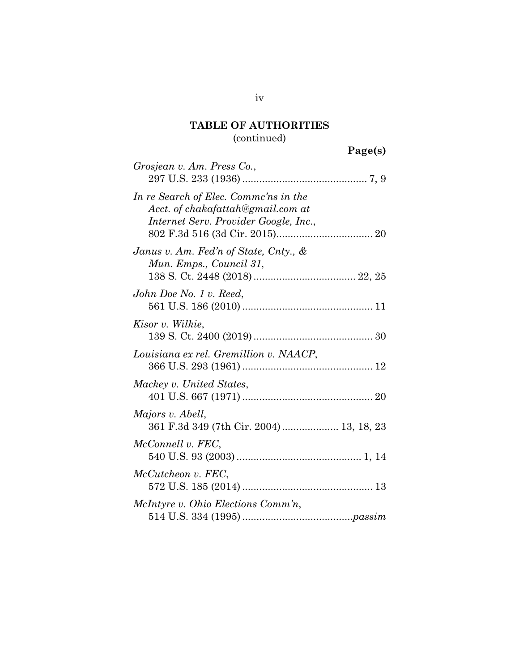| Grosjean v. Am. Press Co.,                                                                                          |
|---------------------------------------------------------------------------------------------------------------------|
| In re Search of Elec. Commc'ns in the<br>Acct. of chakafattah@gmail.com at<br>Internet Serv. Provider Google, Inc., |
| Janus v. Am. Fed'n of State, Cnty., $\&$<br>Mun. Emps., Council 31,                                                 |
| John Doe No. 1 v. Reed,                                                                                             |
| Kisor v. Wilkie,                                                                                                    |
| Louisiana ex rel. Gremillion v. NAACP,                                                                              |
| Mackey v. United States,                                                                                            |
| Majors v. Abell,<br>361 F.3d 349 (7th Cir. 2004) 13, 18, 23                                                         |
| McConnell v. FEC,                                                                                                   |
| McCutcheon v. FEC,                                                                                                  |
| McIntyre v. Ohio Elections Comm'n,                                                                                  |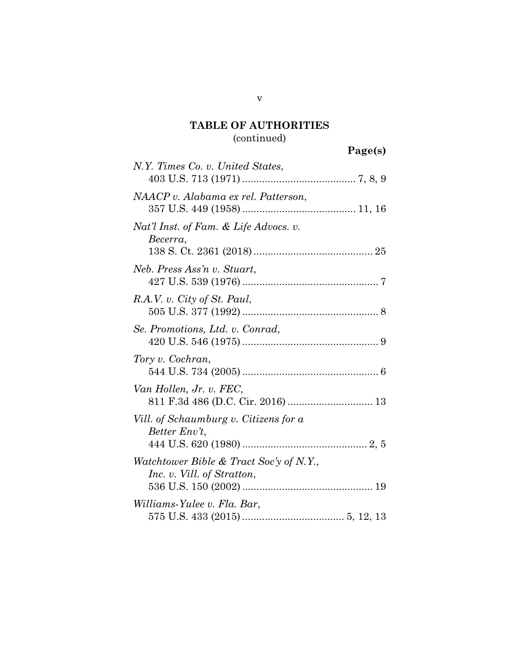| N.Y. Times Co. v. United States,                                      |
|-----------------------------------------------------------------------|
| NAACP v. Alabama ex rel. Patterson,                                   |
| Nat'l Inst. of Fam. & Life Advocs. v.<br>Becerra,                     |
| Neb. Press Ass'n v. Stuart,                                           |
| R.A.V. v. City of St. Paul,                                           |
| Se. Promotions, Ltd. v. Conrad,                                       |
| Tory v. Cochran,                                                      |
| Van Hollen, Jr. v. FEC,<br>811 F.3d 486 (D.C. Cir. 2016)  13          |
| Vill. of Schaumburg v. Citizens for a<br>Better Env't,                |
| Watchtower Bible & Tract Soc'y of N.Y.,<br>Inc. v. Vill. of Stratton, |
| Williams-Yulee v. Fla. Bar,                                           |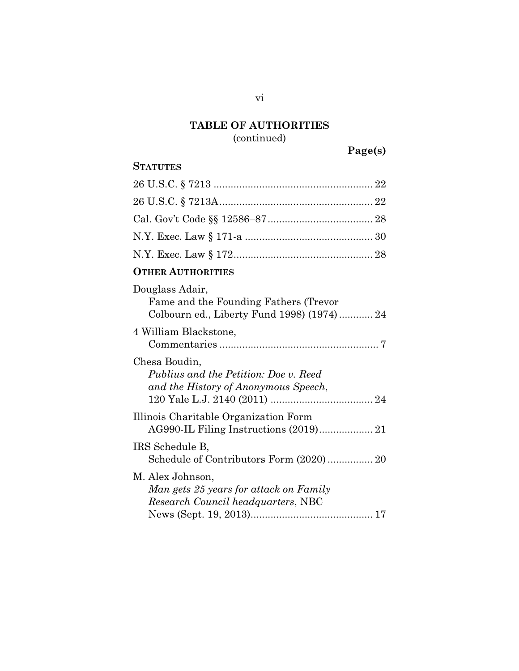# **Page(s)**

## **STATUTES**

### vi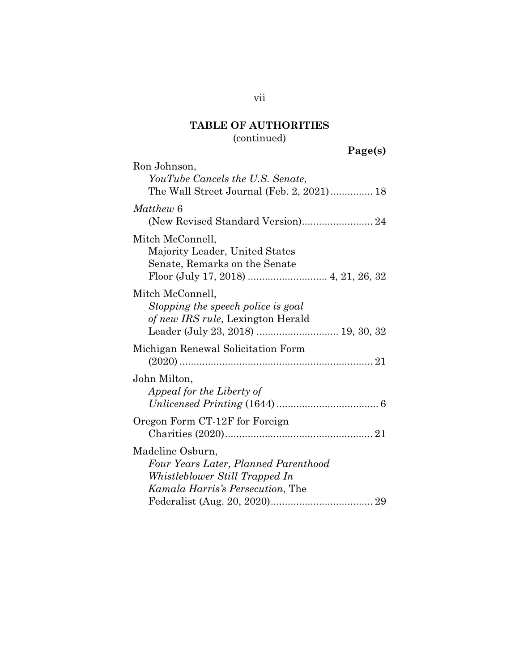# **Page(s)**

| Matthew 6<br>(New Revised Standard Version) 24<br>Mitch McConnell,<br>Majority Leader, United States<br>Senate, Remarks on the Senate<br>Mitch McConnell,<br>Stopping the speech police is goal<br>of new IRS rule, Lexington Herald<br>Leader (July 23, 2018)  19, 30, 32<br>Michigan Renewal Solicitation Form<br>John Milton,<br>Appeal for the Liberty of<br>Oregon Form CT-12F for Foreign<br>Madeline Osburn,<br>Four Years Later, Planned Parenthood<br>Whistleblower Still Trapped In<br>Kamala Harris's Persecution, The | Ron Johnson,<br>YouTube Cancels the U.S. Senate,<br>The Wall Street Journal (Feb. 2, 2021) 18 |
|-----------------------------------------------------------------------------------------------------------------------------------------------------------------------------------------------------------------------------------------------------------------------------------------------------------------------------------------------------------------------------------------------------------------------------------------------------------------------------------------------------------------------------------|-----------------------------------------------------------------------------------------------|
|                                                                                                                                                                                                                                                                                                                                                                                                                                                                                                                                   |                                                                                               |
|                                                                                                                                                                                                                                                                                                                                                                                                                                                                                                                                   |                                                                                               |
|                                                                                                                                                                                                                                                                                                                                                                                                                                                                                                                                   |                                                                                               |
|                                                                                                                                                                                                                                                                                                                                                                                                                                                                                                                                   |                                                                                               |
|                                                                                                                                                                                                                                                                                                                                                                                                                                                                                                                                   |                                                                                               |
|                                                                                                                                                                                                                                                                                                                                                                                                                                                                                                                                   |                                                                                               |
|                                                                                                                                                                                                                                                                                                                                                                                                                                                                                                                                   |                                                                                               |

vii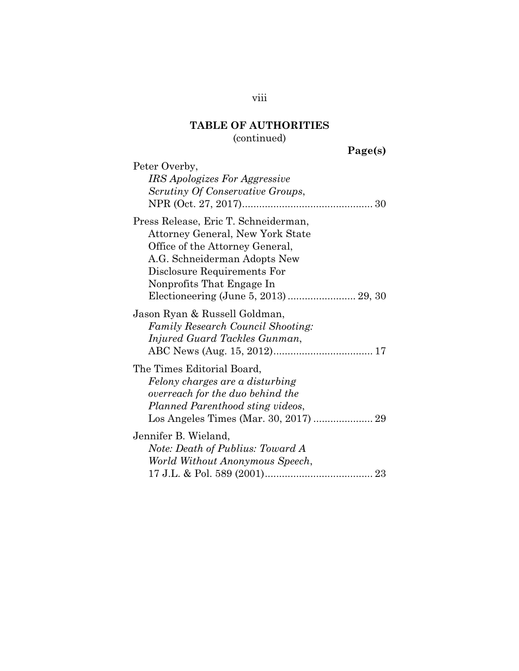**Page(s)** 

| Peter Overby,                                                                                                                                                                                           |
|---------------------------------------------------------------------------------------------------------------------------------------------------------------------------------------------------------|
| <i>IRS Apologizes For Aggressive</i>                                                                                                                                                                    |
| Scrutiny Of Conservative Groups,                                                                                                                                                                        |
|                                                                                                                                                                                                         |
| Press Release, Eric T. Schneiderman,<br>Attorney General, New York State<br>Office of the Attorney General,<br>A.G. Schneiderman Adopts New<br>Disclosure Requirements For<br>Nonprofits That Engage In |
|                                                                                                                                                                                                         |
| Jason Ryan & Russell Goldman,<br><b>Family Research Council Shooting:</b><br>Injured Guard Tackles Gunman,                                                                                              |
| The Times Editorial Board,                                                                                                                                                                              |
| Felony charges are a disturbing<br>overreach for the duo behind the<br>Planned Parenthood sting videos,                                                                                                 |
| Jennifer B. Wieland,                                                                                                                                                                                    |
| Note: Death of Publius: Toward A                                                                                                                                                                        |
| World Without Anonymous Speech,                                                                                                                                                                         |
|                                                                                                                                                                                                         |

viii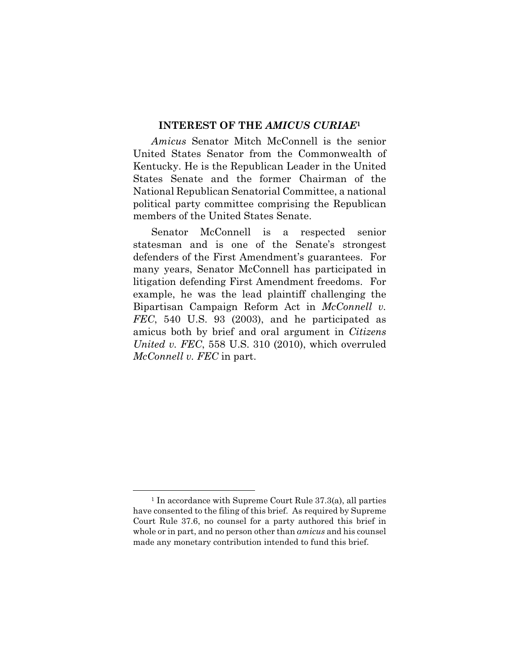#### **INTEREST OF THE** *AMICUS CURIAE***<sup>1</sup>**

*Amicus* Senator Mitch McConnell is the senior United States Senator from the Commonwealth of Kentucky. He is the Republican Leader in the United States Senate and the former Chairman of the National Republican Senatorial Committee, a national political party committee comprising the Republican members of the United States Senate.

Senator McConnell is a respected senior statesman and is one of the Senate's strongest defenders of the First Amendment's guarantees. For many years, Senator McConnell has participated in litigation defending First Amendment freedoms. For example, he was the lead plaintiff challenging the Bipartisan Campaign Reform Act in *McConnell v. FEC*, 540 U.S. 93 (2003), and he participated as amicus both by brief and oral argument in *Citizens United v. FEC*, 558 U.S. 310 (2010), which overruled *McConnell v. FEC* in part.

<u>.</u>

<sup>1</sup> In accordance with Supreme Court Rule 37.3(a), all parties have consented to the filing of this brief. As required by Supreme Court Rule 37.6, no counsel for a party authored this brief in whole or in part, and no person other than *amicus* and his counsel made any monetary contribution intended to fund this brief.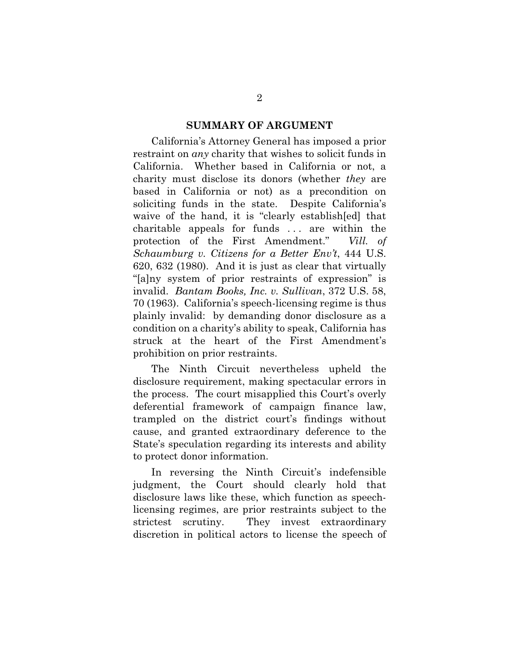#### **SUMMARY OF ARGUMENT**

California's Attorney General has imposed a prior restraint on *any* charity that wishes to solicit funds in California. Whether based in California or not, a charity must disclose its donors (whether *they* are based in California or not) as a precondition on soliciting funds in the state. Despite California's waive of the hand, it is "clearly establish[ed] that charitable appeals for funds . . . are within the protection of the First Amendment." *Vill. of Schaumburg v. Citizens for a Better Env't*, 444 U.S. 620, 632 (1980). And it is just as clear that virtually "[a]ny system of prior restraints of expression" is invalid. *Bantam Books, Inc. v. Sullivan*, 372 U.S. 58, 70 (1963). California's speech-licensing regime is thus plainly invalid: by demanding donor disclosure as a condition on a charity's ability to speak, California has struck at the heart of the First Amendment's prohibition on prior restraints.

The Ninth Circuit nevertheless upheld the disclosure requirement, making spectacular errors in the process. The court misapplied this Court's overly deferential framework of campaign finance law, trampled on the district court's findings without cause, and granted extraordinary deference to the State's speculation regarding its interests and ability to protect donor information.

In reversing the Ninth Circuit's indefensible judgment, the Court should clearly hold that disclosure laws like these, which function as speechlicensing regimes, are prior restraints subject to the strictest scrutiny. They invest extraordinary discretion in political actors to license the speech of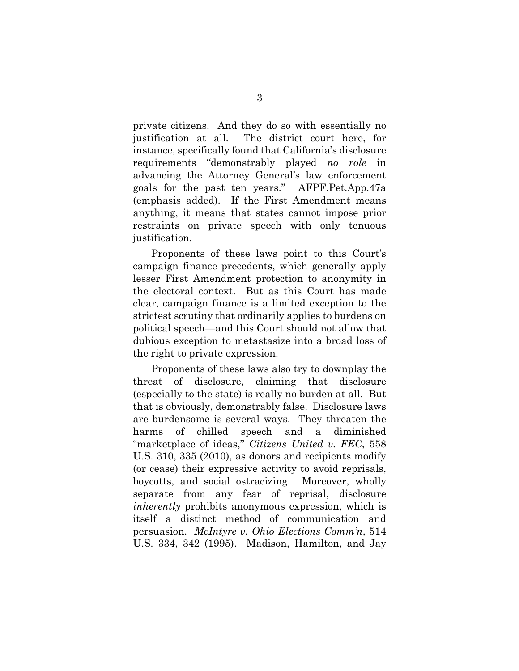private citizens. And they do so with essentially no justification at all. The district court here, for instance, specifically found that California's disclosure requirements "demonstrably played *no role* in advancing the Attorney General's law enforcement goals for the past ten years." AFPF.Pet.App.47a (emphasis added). If the First Amendment means anything, it means that states cannot impose prior restraints on private speech with only tenuous justification.

Proponents of these laws point to this Court's campaign finance precedents, which generally apply lesser First Amendment protection to anonymity in the electoral context. But as this Court has made clear, campaign finance is a limited exception to the strictest scrutiny that ordinarily applies to burdens on political speech—and this Court should not allow that dubious exception to metastasize into a broad loss of the right to private expression.

Proponents of these laws also try to downplay the threat of disclosure, claiming that disclosure (especially to the state) is really no burden at all. But that is obviously, demonstrably false. Disclosure laws are burdensome is several ways. They threaten the harms of chilled speech and a diminished "marketplace of ideas," *Citizens United v. FEC*, 558 U.S. 310, 335 (2010), as donors and recipients modify (or cease) their expressive activity to avoid reprisals, boycotts, and social ostracizing. Moreover, wholly separate from any fear of reprisal, disclosure *inherently* prohibits anonymous expression, which is itself a distinct method of communication and persuasion. *McIntyre v. Ohio Elections Comm'n*, 514 U.S. 334, 342 (1995). Madison, Hamilton, and Jay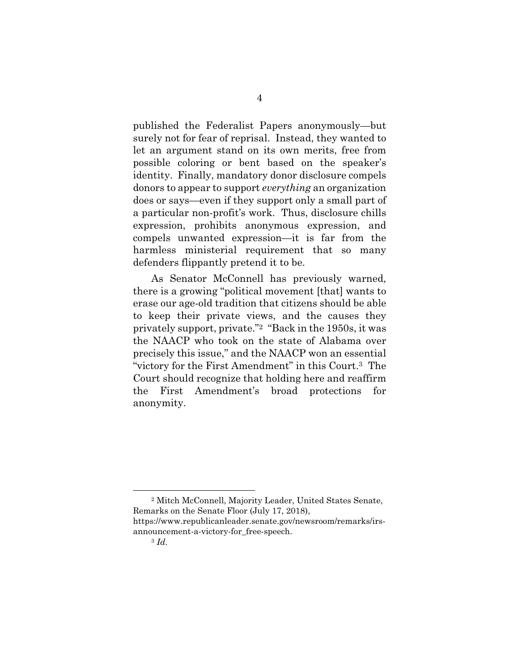published the Federalist Papers anonymously—but surely not for fear of reprisal. Instead, they wanted to let an argument stand on its own merits, free from possible coloring or bent based on the speaker's identity. Finally, mandatory donor disclosure compels donors to appear to support *everything* an organization does or says—even if they support only a small part of a particular non-profit's work. Thus, disclosure chills expression, prohibits anonymous expression, and compels unwanted expression—it is far from the harmless ministerial requirement that so many defenders flippantly pretend it to be.

As Senator McConnell has previously warned, there is a growing "political movement [that] wants to erase our age-old tradition that citizens should be able to keep their private views, and the causes they privately support, private."2 "Back in the 1950s, it was the NAACP who took on the state of Alabama over precisely this issue," and the NAACP won an essential "victory for the First Amendment" in this Court.3 The Court should recognize that holding here and reaffirm the First Amendment's broad protections for anonymity.

<u>.</u>

<sup>2</sup> Mitch McConnell, Majority Leader, United States Senate, Remarks on the Senate Floor (July 17, 2018),

https://www.republicanleader.senate.gov/newsroom/remarks/irsannouncement-a-victory-for\_free-speech.

<sup>3</sup> *Id.*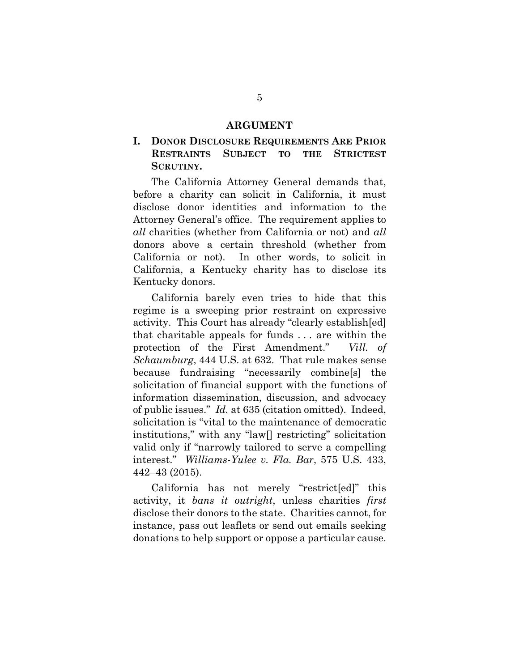#### **ARGUMENT**

### **I. DONOR DISCLOSURE REQUIREMENTS ARE PRIOR RESTRAINTS SUBJECT TO THE STRICTEST SCRUTINY.**

The California Attorney General demands that, before a charity can solicit in California, it must disclose donor identities and information to the Attorney General's office. The requirement applies to *all* charities (whether from California or not) and *all*  donors above a certain threshold (whether from California or not). In other words, to solicit in California, a Kentucky charity has to disclose its Kentucky donors.

California barely even tries to hide that this regime is a sweeping prior restraint on expressive activity. This Court has already "clearly establish[ed] that charitable appeals for funds . . . are within the protection of the First Amendment." *Vill. of Schaumburg*, 444 U.S. at 632. That rule makes sense because fundraising "necessarily combine[s] the solicitation of financial support with the functions of information dissemination, discussion, and advocacy of public issues." *Id.* at 635 (citation omitted). Indeed, solicitation is "vital to the maintenance of democratic institutions," with any "law[] restricting" solicitation valid only if "narrowly tailored to serve a compelling interest." *Williams-Yulee v. Fla. Bar*, 575 U.S. 433, 442–43 (2015).

California has not merely "restrict[ed]" this activity, it *bans it outright*, unless charities *first* disclose their donors to the state. Charities cannot, for instance, pass out leaflets or send out emails seeking donations to help support or oppose a particular cause.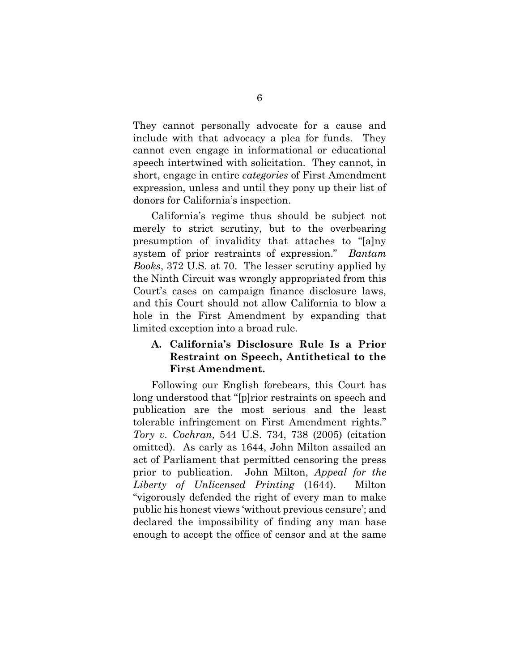They cannot personally advocate for a cause and include with that advocacy a plea for funds. They cannot even engage in informational or educational speech intertwined with solicitation. They cannot, in short, engage in entire *categories* of First Amendment expression, unless and until they pony up their list of donors for California's inspection.

California's regime thus should be subject not merely to strict scrutiny, but to the overbearing presumption of invalidity that attaches to "[a]ny system of prior restraints of expression." *Bantam Books*, 372 U.S. at 70. The lesser scrutiny applied by the Ninth Circuit was wrongly appropriated from this Court's cases on campaign finance disclosure laws, and this Court should not allow California to blow a hole in the First Amendment by expanding that limited exception into a broad rule.

### **A. California's Disclosure Rule Is a Prior Restraint on Speech, Antithetical to the First Amendment.**

Following our English forebears, this Court has long understood that "[p]rior restraints on speech and publication are the most serious and the least tolerable infringement on First Amendment rights." *Tory v. Cochran*, 544 U.S. 734, 738 (2005) (citation omitted). As early as 1644, John Milton assailed an act of Parliament that permitted censoring the press prior to publication. John Milton, *Appeal for the Liberty of Unlicensed Printing* (1644). Milton "vigorously defended the right of every man to make public his honest views 'without previous censure'; and declared the impossibility of finding any man base enough to accept the office of censor and at the same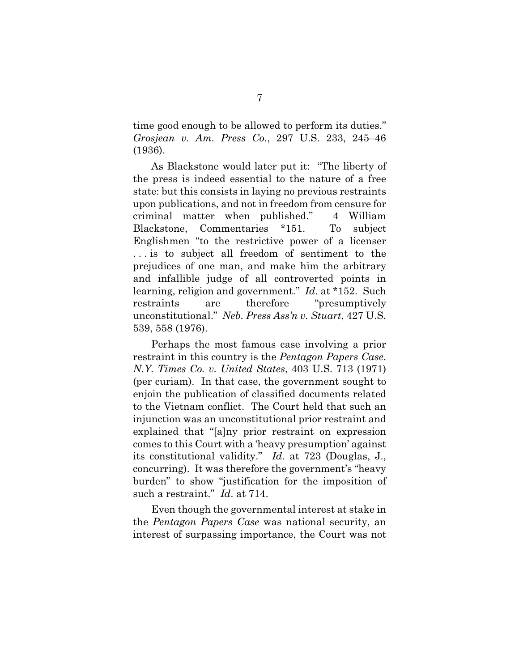time good enough to be allowed to perform its duties." *Grosjean v. Am. Press Co.*, 297 U.S. 233, 245–46 (1936).

As Blackstone would later put it: "The liberty of the press is indeed essential to the nature of a free state: but this consists in laying no previous restraints upon publications, and not in freedom from censure for criminal matter when published." 4 William Blackstone, Commentaries \*151. To subject Englishmen "to the restrictive power of a licenser . . . is to subject all freedom of sentiment to the prejudices of one man, and make him the arbitrary and infallible judge of all controverted points in learning, religion and government." *Id*. at \*152. Such restraints are therefore "presumptively unconstitutional." *Neb. Press Ass'n v. Stuart*, 427 U.S. 539, 558 (1976).

Perhaps the most famous case involving a prior restraint in this country is the *Pentagon Papers Case*. *N.Y. Times Co. v. United States*, 403 U.S. 713 (1971) (per curiam). In that case, the government sought to enjoin the publication of classified documents related to the Vietnam conflict. The Court held that such an injunction was an unconstitutional prior restraint and explained that "[a]ny prior restraint on expression comes to this Court with a 'heavy presumption' against its constitutional validity." *Id*. at 723 (Douglas, J., concurring). It was therefore the government's "heavy burden" to show "justification for the imposition of such a restraint." *Id*. at 714.

Even though the governmental interest at stake in the *Pentagon Papers Case* was national security, an interest of surpassing importance, the Court was not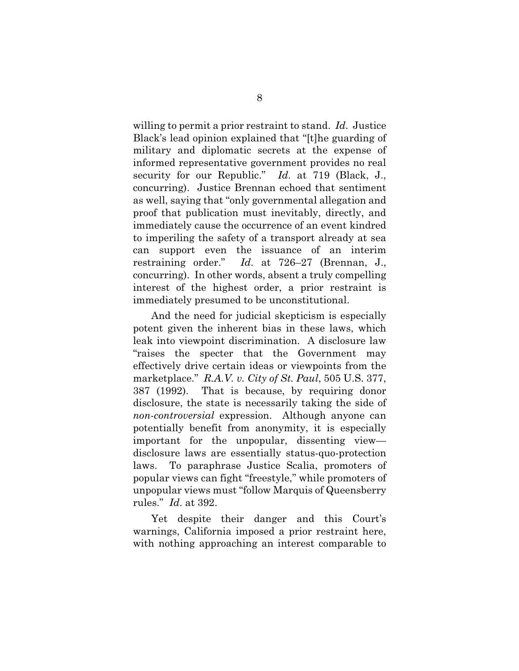willing to permit a prior restraint to stand. *Id*. Justice Black's lead opinion explained that "[t]he guarding of military and diplomatic secrets at the expense of informed representative government provides no real security for our Republic." *Id*. at 719 (Black, J., concurring). Justice Brennan echoed that sentiment as well, saying that "only governmental allegation and proof that publication must inevitably, directly, and immediately cause the occurrence of an event kindred to imperiling the safety of a transport already at sea can support even the issuance of an interim restraining order." *Id*. at 726–27 (Brennan, J., concurring). In other words, absent a truly compelling interest of the highest order, a prior restraint is immediately presumed to be unconstitutional.

And the need for judicial skepticism is especially potent given the inherent bias in these laws, which leak into viewpoint discrimination. A disclosure law "raises the specter that the Government may effectively drive certain ideas or viewpoints from the marketplace." *R.A.V. v. City of St. Paul*, 505 U.S. 377, 387 (1992). That is because, by requiring donor disclosure, the state is necessarily taking the side of *non-controversial* expression. Although anyone can potentially benefit from anonymity, it is especially important for the unpopular, dissenting view disclosure laws are essentially status-quo-protection laws. To paraphrase Justice Scalia, promoters of popular views can fight "freestyle," while promoters of unpopular views must "follow Marquis of Queensberry rules." *Id*. at 392.

Yet despite their danger and this Court's warnings, California imposed a prior restraint here, with nothing approaching an interest comparable to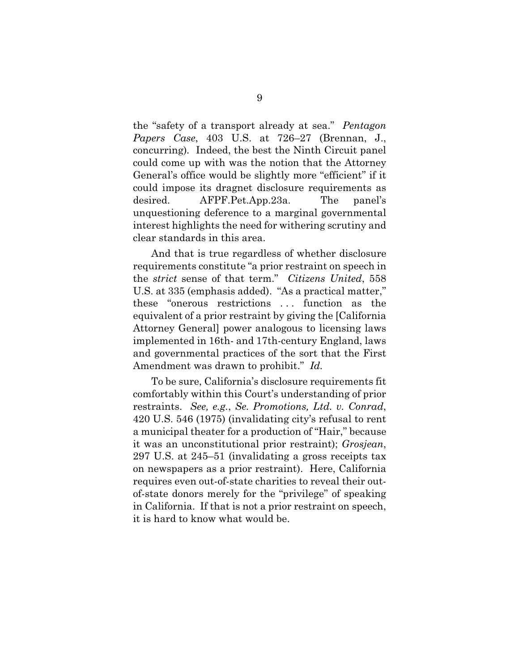the "safety of a transport already at sea." *Pentagon Papers Case*, 403 U.S. at 726–27 (Brennan, J., concurring)*.* Indeed, the best the Ninth Circuit panel could come up with was the notion that the Attorney General's office would be slightly more "efficient" if it could impose its dragnet disclosure requirements as desired. AFPF.Pet.App.23a. The panel's unquestioning deference to a marginal governmental interest highlights the need for withering scrutiny and clear standards in this area.

And that is true regardless of whether disclosure requirements constitute "a prior restraint on speech in the *strict* sense of that term." *Citizens United*, 558 U.S. at 335 (emphasis added). "As a practical matter," these "onerous restrictions . . . function as the equivalent of a prior restraint by giving the [California Attorney General] power analogous to licensing laws implemented in 16th- and 17th-century England, laws and governmental practices of the sort that the First Amendment was drawn to prohibit." *Id.* 

To be sure, California's disclosure requirements fit comfortably within this Court's understanding of prior restraints. *See, e.g.*, *Se. Promotions, Ltd. v. Conrad*, 420 U.S. 546 (1975) (invalidating city's refusal to rent a municipal theater for a production of "Hair," because it was an unconstitutional prior restraint); *Grosjean*, 297 U.S. at 245–51 (invalidating a gross receipts tax on newspapers as a prior restraint). Here, California requires even out-of-state charities to reveal their outof-state donors merely for the "privilege" of speaking in California. If that is not a prior restraint on speech, it is hard to know what would be.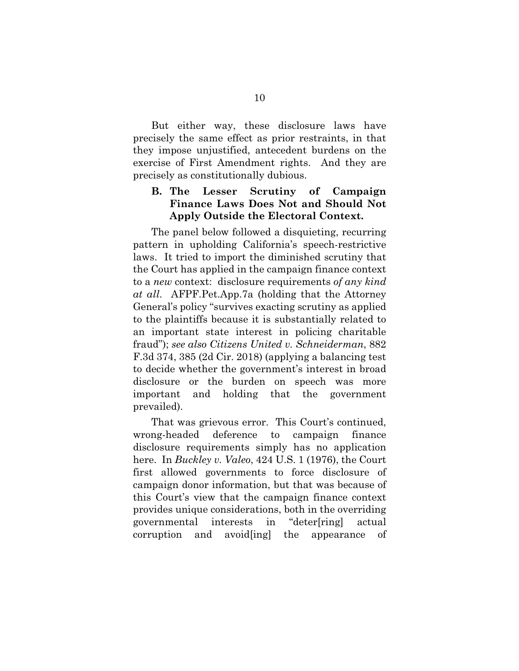But either way, these disclosure laws have precisely the same effect as prior restraints, in that they impose unjustified, antecedent burdens on the exercise of First Amendment rights. And they are precisely as constitutionally dubious.

## **B. The Lesser Scrutiny of Campaign Finance Laws Does Not and Should Not Apply Outside the Electoral Context.**

The panel below followed a disquieting, recurring pattern in upholding California's speech-restrictive laws. It tried to import the diminished scrutiny that the Court has applied in the campaign finance context to a *new* context: disclosure requirements *of any kind at all*. AFPF.Pet.App.7a (holding that the Attorney General's policy "survives exacting scrutiny as applied to the plaintiffs because it is substantially related to an important state interest in policing charitable fraud"); *see also Citizens United v. Schneiderman*, 882 F.3d 374, 385 (2d Cir. 2018) (applying a balancing test to decide whether the government's interest in broad disclosure or the burden on speech was more important and holding that the government prevailed).

That was grievous error. This Court's continued, wrong-headed deference to campaign finance disclosure requirements simply has no application here. In *Buckley v. Valeo*, 424 U.S. 1 (1976), the Court first allowed governments to force disclosure of campaign donor information, but that was because of this Court's view that the campaign finance context provides unique considerations, both in the overriding governmental interests in "deter[ring] actual corruption and avoid[ing] the appearance of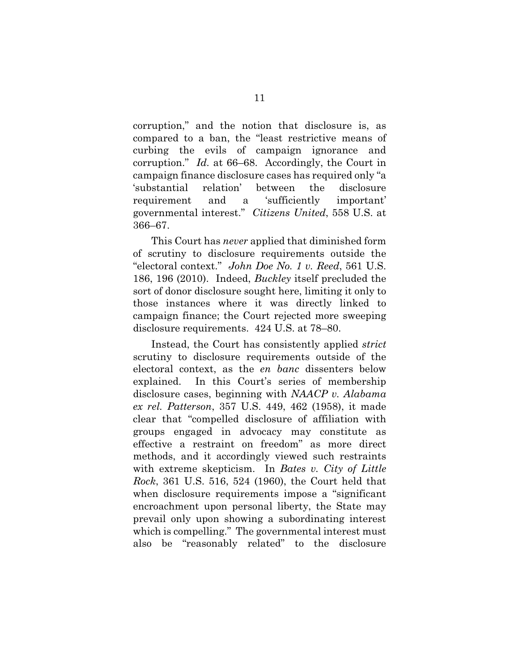corruption," and the notion that disclosure is, as compared to a ban, the "least restrictive means of curbing the evils of campaign ignorance and corruption." *Id.* at 66–68. Accordingly, the Court in campaign finance disclosure cases has required only "a 'substantial relation' between the disclosure requirement and a 'sufficiently important' governmental interest." *Citizens United*, 558 U.S. at 366–67.

This Court has *never* applied that diminished form of scrutiny to disclosure requirements outside the "electoral context." *John Doe No. 1 v. Reed*, 561 U.S. 186, 196 (2010). Indeed, *Buckley* itself precluded the sort of donor disclosure sought here, limiting it only to those instances where it was directly linked to campaign finance; the Court rejected more sweeping disclosure requirements. 424 U.S. at 78–80.

Instead, the Court has consistently applied *strict*  scrutiny to disclosure requirements outside of the electoral context, as the *en banc* dissenters below explained. In this Court's series of membership disclosure cases, beginning with *NAACP v. Alabama ex rel. Patterson*, 357 U.S. 449, 462 (1958), it made clear that "compelled disclosure of affiliation with groups engaged in advocacy may constitute as effective a restraint on freedom" as more direct methods, and it accordingly viewed such restraints with extreme skepticism. In *Bates v. City of Little Rock*, 361 U.S. 516, 524 (1960), the Court held that when disclosure requirements impose a "significant encroachment upon personal liberty, the State may prevail only upon showing a subordinating interest which is compelling." The governmental interest must also be "reasonably related" to the disclosure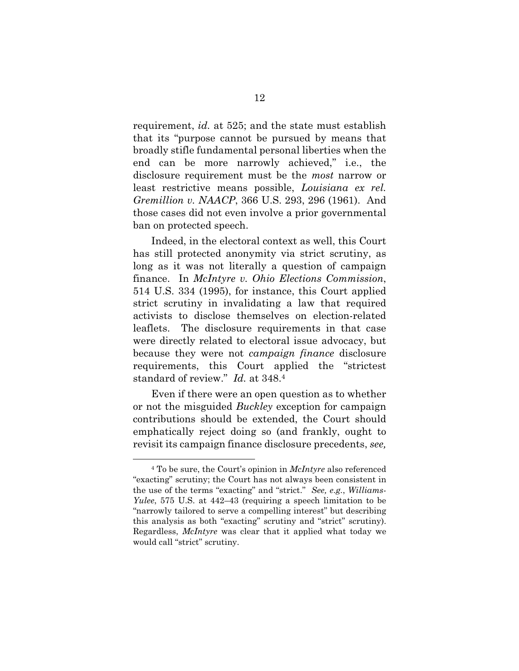requirement, *id.* at 525; and the state must establish that its "purpose cannot be pursued by means that broadly stifle fundamental personal liberties when the end can be more narrowly achieved," i.e., the disclosure requirement must be the *most* narrow or least restrictive means possible, *Louisiana ex rel. Gremillion v. NAACP*, 366 U.S. 293, 296 (1961). And those cases did not even involve a prior governmental ban on protected speech.

Indeed, in the electoral context as well, this Court has still protected anonymity via strict scrutiny, as long as it was not literally a question of campaign finance. In *McIntyre v. Ohio Elections Commission*, 514 U.S. 334 (1995), for instance, this Court applied strict scrutiny in invalidating a law that required activists to disclose themselves on election-related leaflets. The disclosure requirements in that case were directly related to electoral issue advocacy, but because they were not *campaign finance* disclosure requirements, this Court applied the "strictest standard of review." *Id.* at 348.4

Even if there were an open question as to whether or not the misguided *Buckley* exception for campaign contributions should be extended, the Court should emphatically reject doing so (and frankly, ought to revisit its campaign finance disclosure precedents, *see,* 

<u>.</u>

<sup>4</sup> To be sure, the Court's opinion in *McIntyre* also referenced "exacting" scrutiny; the Court has not always been consistent in the use of the terms "exacting" and "strict." *See, e.g.*, *Williams-Yulee*, 575 U.S. at 442–43 (requiring a speech limitation to be "narrowly tailored to serve a compelling interest" but describing this analysis as both "exacting" scrutiny and "strict" scrutiny). Regardless, *McIntyre* was clear that it applied what today we would call "strict" scrutiny.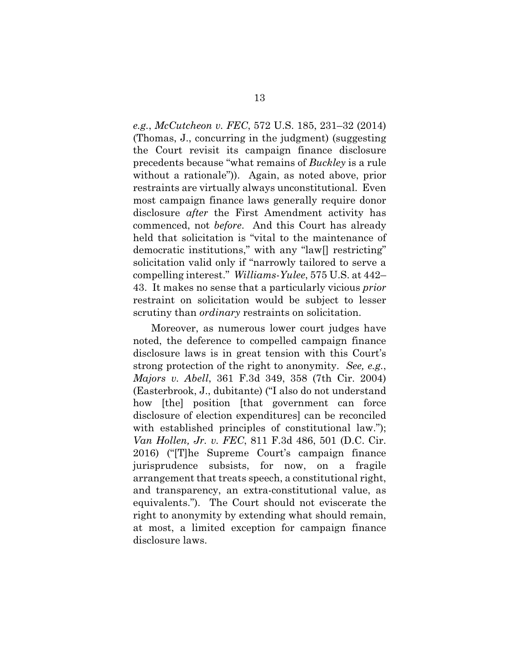*e.g.*, *McCutcheon v. FEC*, 572 U.S. 185, 231–32 (2014) (Thomas, J., concurring in the judgment) (suggesting the Court revisit its campaign finance disclosure precedents because "what remains of *Buckley* is a rule without a rationale")). Again, as noted above, prior restraints are virtually always unconstitutional. Even most campaign finance laws generally require donor disclosure *after* the First Amendment activity has commenced, not *before*. And this Court has already held that solicitation is "vital to the maintenance of democratic institutions," with any "law[] restricting" solicitation valid only if "narrowly tailored to serve a compelling interest." *Williams-Yulee*, 575 U.S. at 442– 43. It makes no sense that a particularly vicious *prior* restraint on solicitation would be subject to lesser scrutiny than *ordinary* restraints on solicitation.

Moreover, as numerous lower court judges have noted, the deference to compelled campaign finance disclosure laws is in great tension with this Court's strong protection of the right to anonymity. *See, e.g.*, *Majors v. Abell*, 361 F.3d 349, 358 (7th Cir. 2004) (Easterbrook, J., dubitante) ("I also do not understand how [the] position [that government can force disclosure of election expenditures] can be reconciled with established principles of constitutional law."); *Van Hollen, Jr. v. FEC*, 811 F.3d 486, 501 (D.C. Cir. 2016) ("[T]he Supreme Court's campaign finance jurisprudence subsists, for now, on a fragile arrangement that treats speech, a constitutional right, and transparency, an extra-constitutional value, as equivalents."). The Court should not eviscerate the right to anonymity by extending what should remain, at most, a limited exception for campaign finance disclosure laws.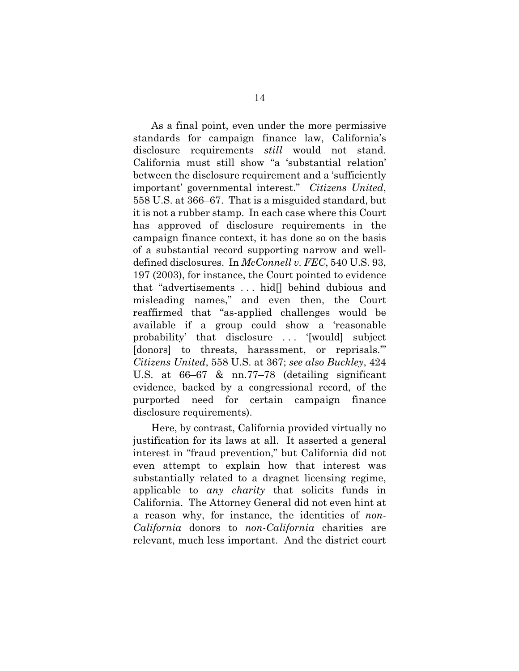As a final point, even under the more permissive standards for campaign finance law, California's disclosure requirements *still* would not stand. California must still show "a 'substantial relation' between the disclosure requirement and a 'sufficiently important' governmental interest." *Citizens United*, 558 U.S. at 366–67. That is a misguided standard, but it is not a rubber stamp. In each case where this Court has approved of disclosure requirements in the campaign finance context, it has done so on the basis of a substantial record supporting narrow and welldefined disclosures. In *McConnell v. FEC*, 540 U.S. 93, 197 (2003), for instance, the Court pointed to evidence that "advertisements . . . hid[] behind dubious and misleading names," and even then, the Court reaffirmed that "as-applied challenges would be available if a group could show a 'reasonable probability' that disclosure ... '[would] subject [donors] to threats, harassment, or reprisals." *Citizens United*, 558 U.S. at 367; *see also Buckley*, 424 U.S. at 66–67 & nn.77–78 (detailing significant evidence, backed by a congressional record, of the purported need for certain campaign finance disclosure requirements).

Here, by contrast, California provided virtually no justification for its laws at all. It asserted a general interest in "fraud prevention," but California did not even attempt to explain how that interest was substantially related to a dragnet licensing regime, applicable to *any charity* that solicits funds in California. The Attorney General did not even hint at a reason why, for instance, the identities of *non-California* donors to *non-California* charities are relevant, much less important. And the district court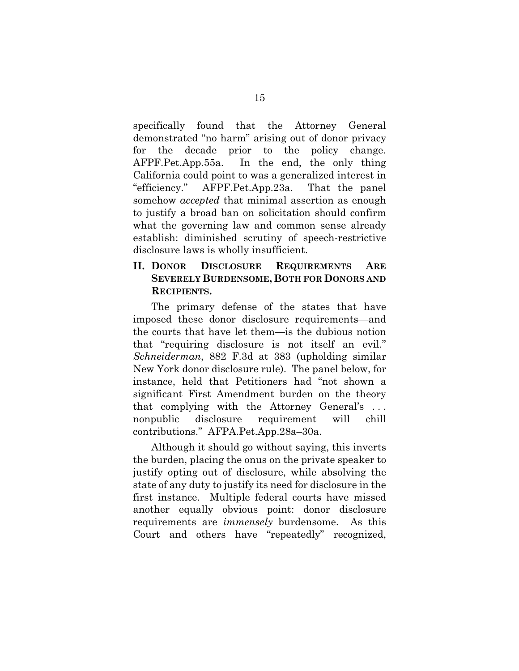specifically found that the Attorney General demonstrated "no harm" arising out of donor privacy for the decade prior to the policy change. AFPF.Pet.App.55a. In the end, the only thing California could point to was a generalized interest in "efficiency." AFPF.Pet.App.23a. That the panel somehow *accepted* that minimal assertion as enough to justify a broad ban on solicitation should confirm what the governing law and common sense already establish: diminished scrutiny of speech-restrictive disclosure laws is wholly insufficient.

### **II. DONOR DISCLOSURE REQUIREMENTS ARE SEVERELY BURDENSOME, BOTH FOR DONORS AND RECIPIENTS.**

The primary defense of the states that have imposed these donor disclosure requirements—and the courts that have let them—is the dubious notion that "requiring disclosure is not itself an evil." *Schneiderman*, 882 F.3d at 383 (upholding similar New York donor disclosure rule). The panel below, for instance, held that Petitioners had "not shown a significant First Amendment burden on the theory that complying with the Attorney General's . . . nonpublic disclosure requirement will chill contributions." AFPA.Pet.App.28a–30a.

Although it should go without saying, this inverts the burden, placing the onus on the private speaker to justify opting out of disclosure, while absolving the state of any duty to justify its need for disclosure in the first instance. Multiple federal courts have missed another equally obvious point: donor disclosure requirements are *immensely* burdensome. As this Court and others have "repeatedly" recognized,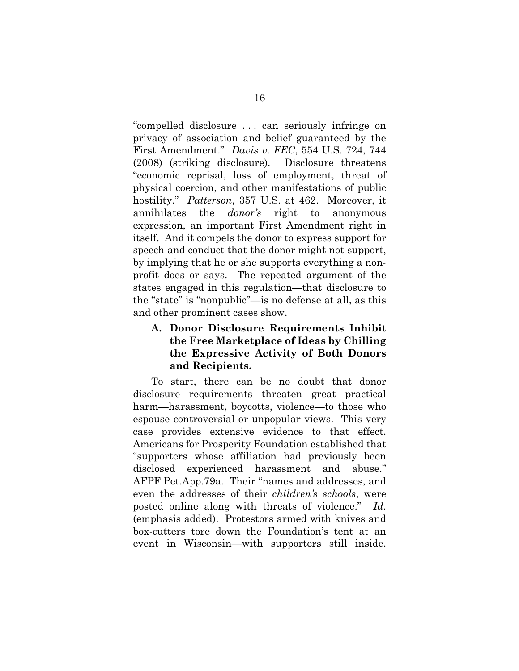"compelled disclosure . . . can seriously infringe on privacy of association and belief guaranteed by the First Amendment." *Davis v. FEC*, 554 U.S. 724, 744 (2008) (striking disclosure). Disclosure threatens "economic reprisal, loss of employment, threat of physical coercion, and other manifestations of public hostility." *Patterson*, 357 U.S. at 462. Moreover, it annihilates the *donor's* right to anonymous expression, an important First Amendment right in itself. And it compels the donor to express support for speech and conduct that the donor might not support, by implying that he or she supports everything a nonprofit does or says. The repeated argument of the states engaged in this regulation—that disclosure to the "state" is "nonpublic"—is no defense at all, as this and other prominent cases show.

## **A. Donor Disclosure Requirements Inhibit the Free Marketplace of Ideas by Chilling the Expressive Activity of Both Donors and Recipients.**

To start, there can be no doubt that donor disclosure requirements threaten great practical harm—harassment, boycotts, violence—to those who espouse controversial or unpopular views. This very case provides extensive evidence to that effect. Americans for Prosperity Foundation established that "supporters whose affiliation had previously been disclosed experienced harassment and abuse." AFPF.Pet.App.79a. Their "names and addresses, and even the addresses of their *children's schools*, were posted online along with threats of violence." *Id.* (emphasis added). Protestors armed with knives and box-cutters tore down the Foundation's tent at an event in Wisconsin—with supporters still inside.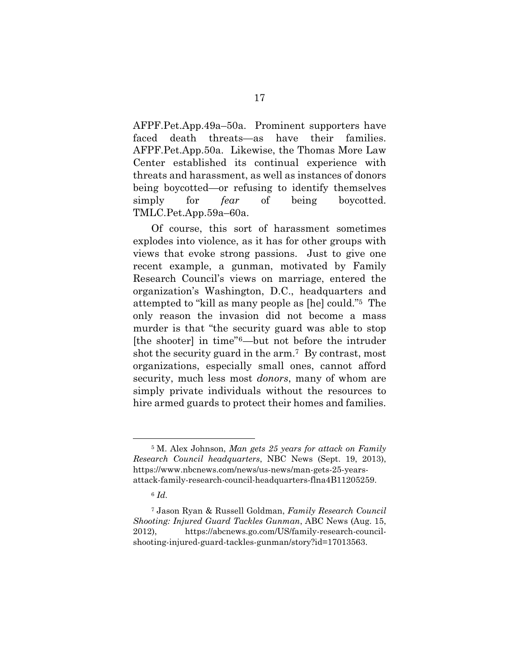AFPF.Pet.App.49a–50a. Prominent supporters have faced death threats—as have their families. AFPF.Pet.App.50a. Likewise, the Thomas More Law Center established its continual experience with threats and harassment, as well as instances of donors being boycotted—or refusing to identify themselves simply for *fear* of being boycotted. TMLC.Pet.App.59a–60a.

Of course, this sort of harassment sometimes explodes into violence, as it has for other groups with views that evoke strong passions. Just to give one recent example, a gunman, motivated by Family Research Council's views on marriage, entered the organization's Washington, D.C., headquarters and attempted to "kill as many people as [he] could."5 The only reason the invasion did not become a mass murder is that "the security guard was able to stop [the shooter] in time"6—but not before the intruder shot the security guard in the arm.7 By contrast, most organizations, especially small ones, cannot afford security, much less most *donors*, many of whom are simply private individuals without the resources to hire armed guards to protect their homes and families.

1

<sup>5</sup> M. Alex Johnson, *Man gets 25 years for attack on Family Research Council headquarters*, NBC News (Sept. 19, 2013), https://www.nbcnews.com/news/us-news/man-gets-25-yearsattack-family-research-council-headquarters-flna4B11205259.

<sup>6</sup> *Id.*

<sup>7</sup> Jason Ryan & Russell Goldman, *Family Research Council Shooting: Injured Guard Tackles Gunman*, ABC News (Aug. 15, 2012), https://abcnews.go.com/US/family-research-councilshooting-injured-guard-tackles-gunman/story?id=17013563.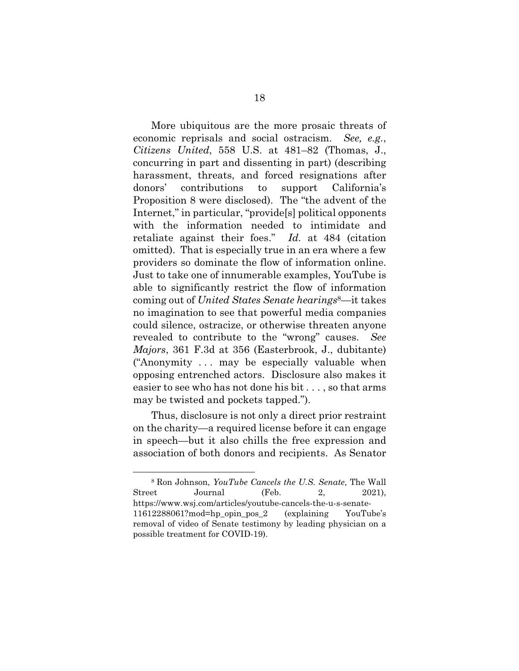More ubiquitous are the more prosaic threats of economic reprisals and social ostracism. *See, e.g.*, *Citizens United*, 558 U.S. at 481–82 (Thomas, J., concurring in part and dissenting in part) (describing harassment, threats, and forced resignations after donors' contributions to support California's Proposition 8 were disclosed). The "the advent of the Internet," in particular, "provide[s] political opponents with the information needed to intimidate and retaliate against their foes." *Id.* at 484 (citation omitted). That is especially true in an era where a few providers so dominate the flow of information online. Just to take one of innumerable examples, YouTube is able to significantly restrict the flow of information coming out of *United States Senate hearings*8—it takes no imagination to see that powerful media companies could silence, ostracize, or otherwise threaten anyone revealed to contribute to the "wrong" causes. *See Majors*, 361 F.3d at 356 (Easterbrook, J., dubitante) ("Anonymity . . . may be especially valuable when opposing entrenched actors. Disclosure also makes it easier to see who has not done his bit . . . , so that arms may be twisted and pockets tapped.").

Thus, disclosure is not only a direct prior restraint on the charity—a required license before it can engage in speech—but it also chills the free expression and association of both donors and recipients. As Senator

<u>.</u>

<sup>8</sup> Ron Johnson, *YouTube Cancels the U.S. Senate*, The Wall Street Journal (Feb. 2, 2021), https://www.wsj.com/articles/youtube-cancels-the-u-s-senate-11612288061?mod=hp\_opin\_pos\_2 (explaining YouTube's removal of video of Senate testimony by leading physician on a possible treatment for COVID-19).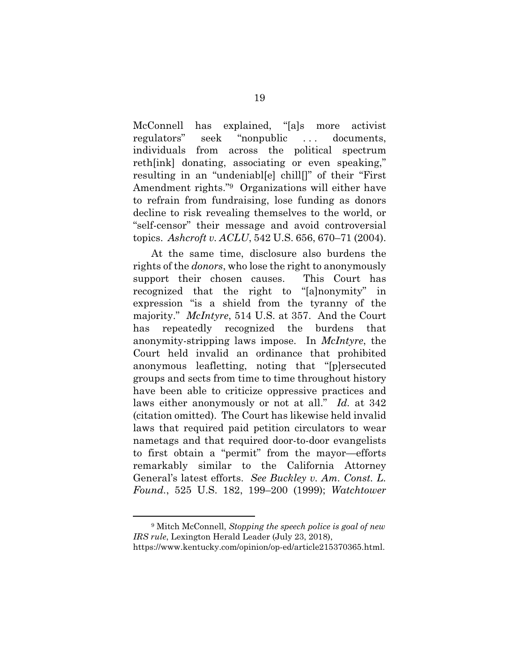McConnell has explained, "[a]s more activist regulators" seek "nonpublic . . . documents, individuals from across the political spectrum reth[ink] donating, associating or even speaking," resulting in an "undeniabl[e] chill[]" of their "First Amendment rights."9 Organizations will either have to refrain from fundraising, lose funding as donors decline to risk revealing themselves to the world, or "self-censor" their message and avoid controversial topics. *Ashcroft v. ACLU*, 542 U.S. 656, 670–71 (2004).

At the same time, disclosure also burdens the rights of the *donors*, who lose the right to anonymously support their chosen causes. This Court has recognized that the right to "[a]nonymity" in expression "is a shield from the tyranny of the majority." *McIntyre*, 514 U.S. at 357. And the Court has repeatedly recognized the burdens that anonymity-stripping laws impose. In *McIntyre*, the Court held invalid an ordinance that prohibited anonymous leafletting, noting that "[p]ersecuted groups and sects from time to time throughout history have been able to criticize oppressive practices and laws either anonymously or not at all." *Id.* at 342 (citation omitted). The Court has likewise held invalid laws that required paid petition circulators to wear nametags and that required door-to-door evangelists to first obtain a "permit" from the mayor—efforts remarkably similar to the California Attorney General's latest efforts. *See Buckley v. Am. Const. L. Found.*, 525 U.S. 182, 199–200 (1999); *Watchtower* 

1

<sup>9</sup> Mitch McConnell, *Stopping the speech police is goal of new IRS rule*, Lexington Herald Leader (July 23, 2018),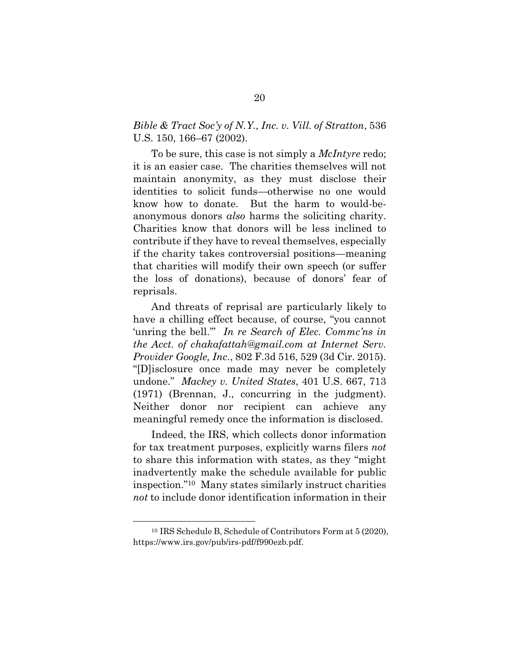## *Bible & Tract Soc'y of N.Y., Inc. v. Vill. of Stratton*, 536 U.S. 150, 166–67 (2002).

To be sure, this case is not simply a *McIntyre* redo; it is an easier case. The charities themselves will not maintain anonymity, as they must disclose their identities to solicit funds—otherwise no one would know how to donate. But the harm to would-beanonymous donors *also* harms the soliciting charity. Charities know that donors will be less inclined to contribute if they have to reveal themselves, especially if the charity takes controversial positions—meaning that charities will modify their own speech (or suffer the loss of donations), because of donors' fear of reprisals.

And threats of reprisal are particularly likely to have a chilling effect because, of course, "you cannot 'unring the bell.'" *In re Search of Elec. Commc'ns in the Acct. of chakafattah@gmail.com at Internet Serv. Provider Google, Inc*., 802 F.3d 516, 529 (3d Cir. 2015). "[D]isclosure once made may never be completely undone." *Mackey v. United States*, 401 U.S. 667, 713 (1971) (Brennan, J., concurring in the judgment). Neither donor nor recipient can achieve any meaningful remedy once the information is disclosed.

Indeed, the IRS, which collects donor information for tax treatment purposes, explicitly warns filers *not* to share this information with states, as they "might inadvertently make the schedule available for public inspection."10 Many states similarly instruct charities *not* to include donor identification information in their

<u>.</u>

<sup>10</sup> IRS Schedule B, Schedule of Contributors Form at 5 (2020), https://www.irs.gov/pub/irs-pdf/f990ezb.pdf.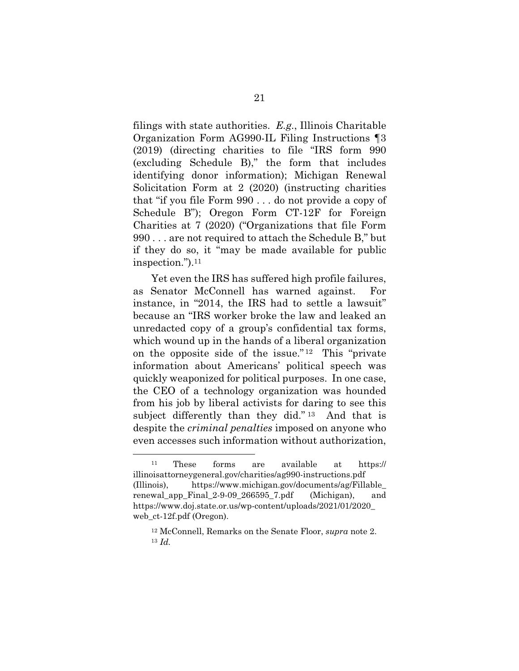filings with state authorities. *E.g.*, Illinois Charitable Organization Form AG990-IL Filing Instructions ¶3 (2019) (directing charities to file "IRS form 990 (excluding Schedule B)," the form that includes identifying donor information); Michigan Renewal Solicitation Form at 2 (2020) (instructing charities that "if you file Form 990 . . . do not provide a copy of Schedule B"); Oregon Form CT-12F for Foreign Charities at 7 (2020) ("Organizations that file Form 990 . . . are not required to attach the Schedule B," but if they do so, it "may be made available for public inspection.").11

Yet even the IRS has suffered high profile failures, as Senator McConnell has warned against. For instance, in "2014, the IRS had to settle a lawsuit" because an "IRS worker broke the law and leaked an unredacted copy of a group's confidential tax forms, which wound up in the hands of a liberal organization on the opposite side of the issue." 12 This "private information about Americans' political speech was quickly weaponized for political purposes. In one case, the CEO of a technology organization was hounded from his job by liberal activists for daring to see this subject differently than they did."<sup>13</sup> And that is despite the *criminal penalties* imposed on anyone who even accesses such information without authorization,

<u>.</u>

<sup>11</sup> These forms are available at https:// illinoisattorneygeneral.gov/charities/ag990-instructions.pdf (Illinois), https://www.michigan.gov/documents/ag/Fillable\_ renewal app Final  $2-9-09$  266595 7.pdf (Michigan), and https://www.doj.state.or.us/wp-content/uploads/2021/01/2020\_ web\_ct-12f.pdf (Oregon).

<sup>12</sup> McConnell, Remarks on the Senate Floor, *supra* note 2. <sup>13</sup> *Id.*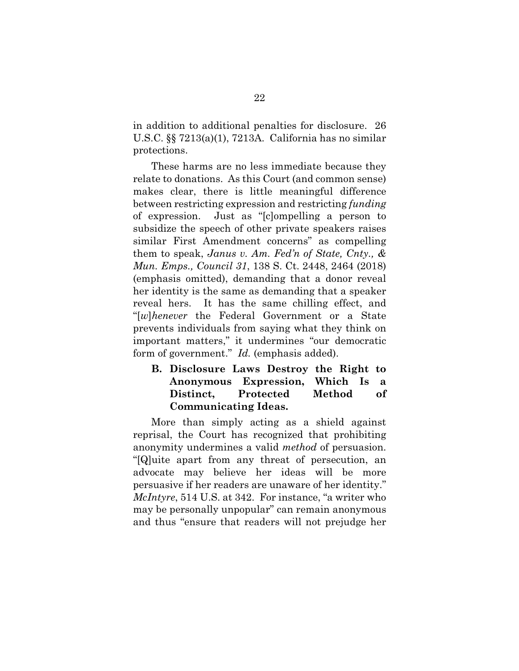in addition to additional penalties for disclosure. 26 U.S.C. §§ 7213(a)(1), 7213A. California has no similar protections.

These harms are no less immediate because they relate to donations. As this Court (and common sense) makes clear, there is little meaningful difference between restricting expression and restricting *funding* of expression. Just as "[c]ompelling a person to subsidize the speech of other private speakers raises similar First Amendment concerns" as compelling them to speak, *Janus v. Am. Fed'n of State, Cnty., & Mun. Emps., Council 31*, 138 S. Ct. 2448, 2464 (2018) (emphasis omitted), demanding that a donor reveal her identity is the same as demanding that a speaker reveal hers. It has the same chilling effect, and "[*w*]*henever* the Federal Government or a State prevents individuals from saying what they think on important matters," it undermines "our democratic form of government." *Id.* (emphasis added).

### **B. Disclosure Laws Destroy the Right to Anonymous Expression, Which Is a Distinct, Protected Method of Communicating Ideas.**

More than simply acting as a shield against reprisal, the Court has recognized that prohibiting anonymity undermines a valid *method* of persuasion. "[Q]uite apart from any threat of persecution, an advocate may believe her ideas will be more persuasive if her readers are unaware of her identity." *McIntyre*, 514 U.S. at 342. For instance, "a writer who may be personally unpopular" can remain anonymous and thus "ensure that readers will not prejudge her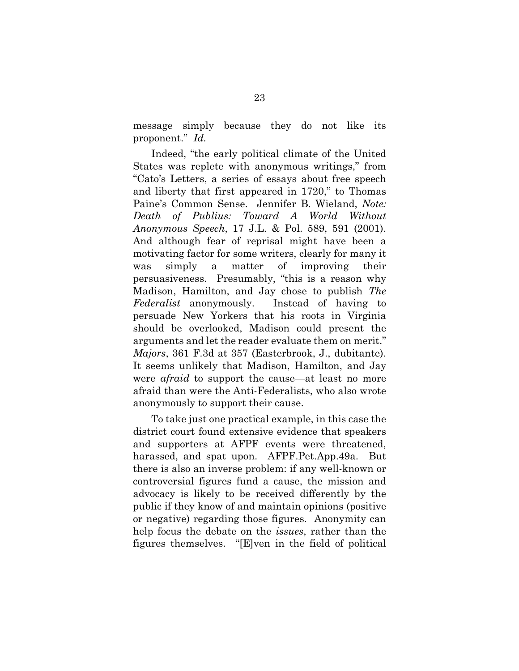message simply because they do not like its proponent." *Id.*

Indeed, "the early political climate of the United States was replete with anonymous writings," from "Cato's Letters, a series of essays about free speech and liberty that first appeared in 1720," to Thomas Paine's Common Sense. Jennifer B. Wieland, *Note: Death of Publius: Toward A World Without Anonymous Speech*, 17 J.L. & Pol. 589, 591 (2001). And although fear of reprisal might have been a motivating factor for some writers, clearly for many it was simply a matter of improving their persuasiveness. Presumably, "this is a reason why Madison, Hamilton, and Jay chose to publish *The Federalist* anonymously. Instead of having to persuade New Yorkers that his roots in Virginia should be overlooked, Madison could present the arguments and let the reader evaluate them on merit." *Majors*, 361 F.3d at 357 (Easterbrook, J., dubitante). It seems unlikely that Madison, Hamilton, and Jay were *afraid* to support the cause—at least no more afraid than were the Anti-Federalists, who also wrote anonymously to support their cause.

To take just one practical example, in this case the district court found extensive evidence that speakers and supporters at AFPF events were threatened, harassed, and spat upon. AFPF.Pet.App.49a. But there is also an inverse problem: if any well-known or controversial figures fund a cause, the mission and advocacy is likely to be received differently by the public if they know of and maintain opinions (positive or negative) regarding those figures. Anonymity can help focus the debate on the *issues*, rather than the figures themselves. "[E]ven in the field of political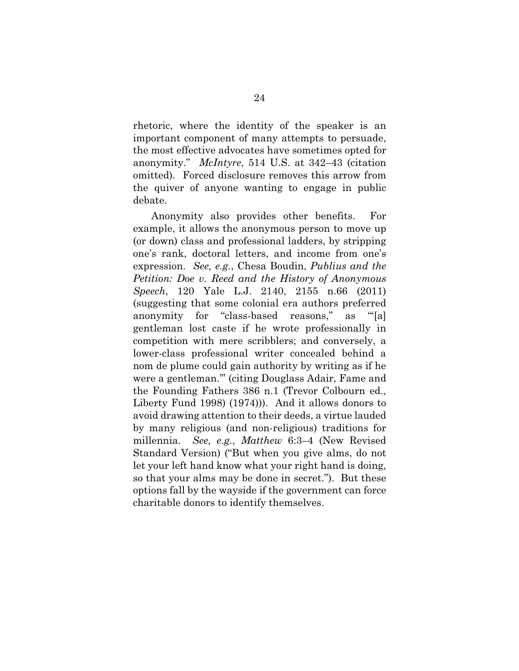rhetoric, where the identity of the speaker is an important component of many attempts to persuade, the most effective advocates have sometimes opted for anonymity." *McIntyre*, 514 U.S. at 342–43 (citation omitted). Forced disclosure removes this arrow from the quiver of anyone wanting to engage in public debate.

Anonymity also provides other benefits. For example, it allows the anonymous person to move up (or down) class and professional ladders, by stripping one's rank, doctoral letters, and income from one's expression. *See, e.g.*, Chesa Boudin, *Publius and the Petition: Doe v. Reed and the History of Anonymous Speech*, 120 Yale L.J. 2140, 2155 n.66 (2011) (suggesting that some colonial era authors preferred anonymity for "class-based reasons," as "'[a] gentleman lost caste if he wrote professionally in competition with mere scribblers; and conversely, a lower-class professional writer concealed behind a nom de plume could gain authority by writing as if he were a gentleman.'" (citing Douglass Adair, Fame and the Founding Fathers 386 n.1 (Trevor Colbourn ed., Liberty Fund 1998) (1974))). And it allows donors to avoid drawing attention to their deeds, a virtue lauded by many religious (and non-religious) traditions for millennia. *See, e.g.*, *Matthew* 6:3–4 (New Revised Standard Version) ("But when you give alms, do not let your left hand know what your right hand is doing, so that your alms may be done in secret."). But these options fall by the wayside if the government can force charitable donors to identify themselves.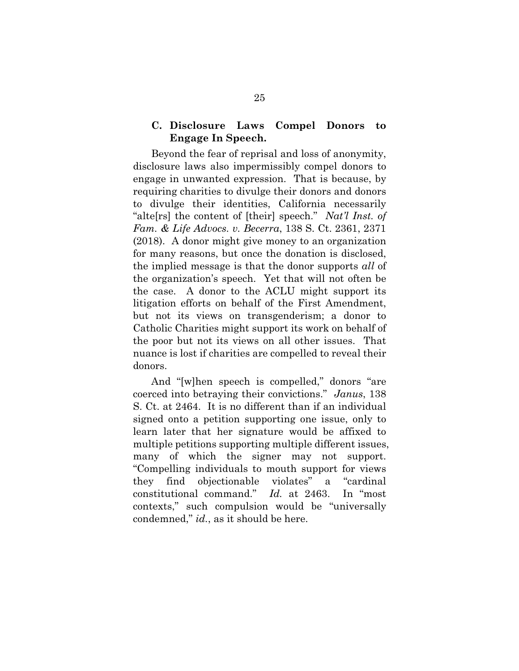### **C. Disclosure Laws Compel Donors to Engage In Speech.**

Beyond the fear of reprisal and loss of anonymity, disclosure laws also impermissibly compel donors to engage in unwanted expression. That is because, by requiring charities to divulge their donors and donors to divulge their identities, California necessarily "alte[rs] the content of [their] speech." *Nat'l Inst. of Fam. & Life Advocs. v. Becerra*, 138 S. Ct. 2361, 2371 (2018). A donor might give money to an organization for many reasons, but once the donation is disclosed, the implied message is that the donor supports *all* of the organization's speech. Yet that will not often be the case. A donor to the ACLU might support its litigation efforts on behalf of the First Amendment, but not its views on transgenderism; a donor to Catholic Charities might support its work on behalf of the poor but not its views on all other issues. That nuance is lost if charities are compelled to reveal their donors.

And "[w]hen speech is compelled," donors "are coerced into betraying their convictions." *Janus*, 138 S. Ct. at 2464. It is no different than if an individual signed onto a petition supporting one issue, only to learn later that her signature would be affixed to multiple petitions supporting multiple different issues, many of which the signer may not support. "Compelling individuals to mouth support for views they find objectionable violates" a "cardinal constitutional command." *Id.* at 2463. In "most contexts," such compulsion would be "universally condemned," *id.*, as it should be here.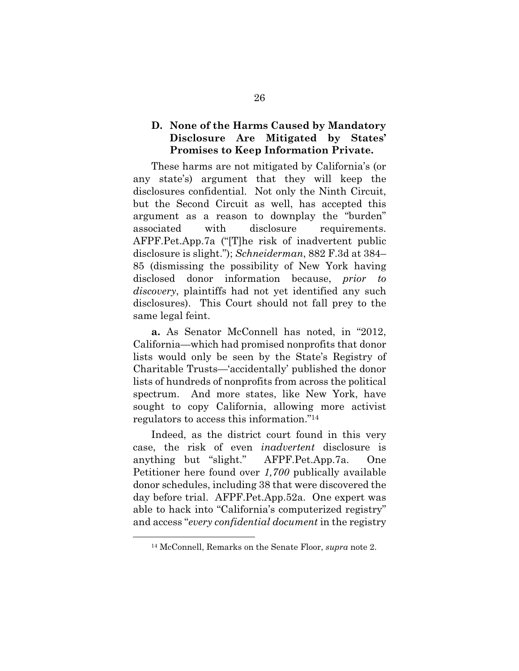### **D. None of the Harms Caused by Mandatory Disclosure Are Mitigated by States' Promises to Keep Information Private.**

These harms are not mitigated by California's (or any state's) argument that they will keep the disclosures confidential. Not only the Ninth Circuit, but the Second Circuit as well, has accepted this argument as a reason to downplay the "burden" associated with disclosure requirements. AFPF.Pet.App.7a ("[T]he risk of inadvertent public disclosure is slight."); *Schneiderman*, 882 F.3d at 384– 85 (dismissing the possibility of New York having disclosed donor information because, *prior to discovery*, plaintiffs had not yet identified any such disclosures). This Court should not fall prey to the same legal feint.

**a.** As Senator McConnell has noted, in "2012, California—which had promised nonprofits that donor lists would only be seen by the State's Registry of Charitable Trusts—'accidentally' published the donor lists of hundreds of nonprofits from across the political spectrum. And more states, like New York, have sought to copy California, allowing more activist regulators to access this information."14

Indeed, as the district court found in this very case, the risk of even *inadvertent* disclosure is anything but "slight." AFPF.Pet.App.7a. One Petitioner here found over *1,700* publically available donor schedules, including 38 that were discovered the day before trial. AFPF.Pet.App.52a. One expert was able to hack into "California's computerized registry" and access "*every confidential document* in the registry

<u>.</u>

<sup>14</sup> McConnell, Remarks on the Senate Floor, *supra* note 2.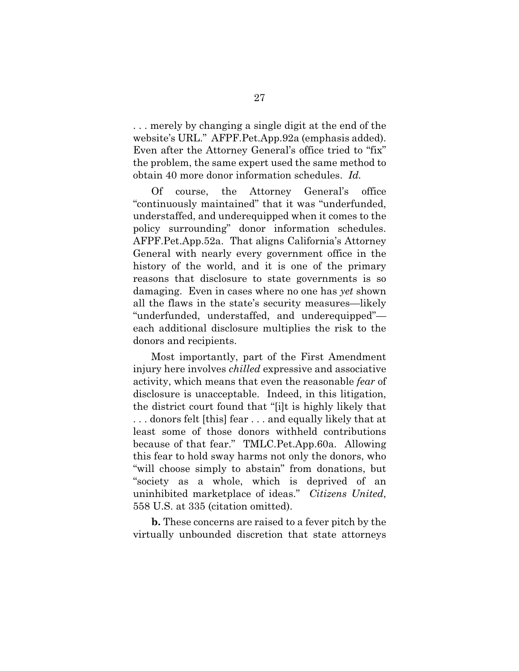. . . merely by changing a single digit at the end of the website's URL." AFPF.Pet.App.92a (emphasis added). Even after the Attorney General's office tried to "fix" the problem, the same expert used the same method to obtain 40 more donor information schedules. *Id.*

Of course, the Attorney General's office "continuously maintained" that it was "underfunded, understaffed, and underequipped when it comes to the policy surrounding" donor information schedules. AFPF.Pet.App.52a. That aligns California's Attorney General with nearly every government office in the history of the world, and it is one of the primary reasons that disclosure to state governments is so damaging. Even in cases where no one has *yet* shown all the flaws in the state's security measures—likely "underfunded, understaffed, and underequipped" each additional disclosure multiplies the risk to the donors and recipients.

Most importantly, part of the First Amendment injury here involves *chilled* expressive and associative activity, which means that even the reasonable *fear* of disclosure is unacceptable. Indeed, in this litigation, the district court found that "[i]t is highly likely that . . . donors felt [this] fear . . . and equally likely that at least some of those donors withheld contributions because of that fear." TMLC.Pet.App.60a. Allowing this fear to hold sway harms not only the donors, who "will choose simply to abstain" from donations, but "society as a whole, which is deprived of an uninhibited marketplace of ideas." *Citizens United*, 558 U.S. at 335 (citation omitted).

**b.** These concerns are raised to a fever pitch by the virtually unbounded discretion that state attorneys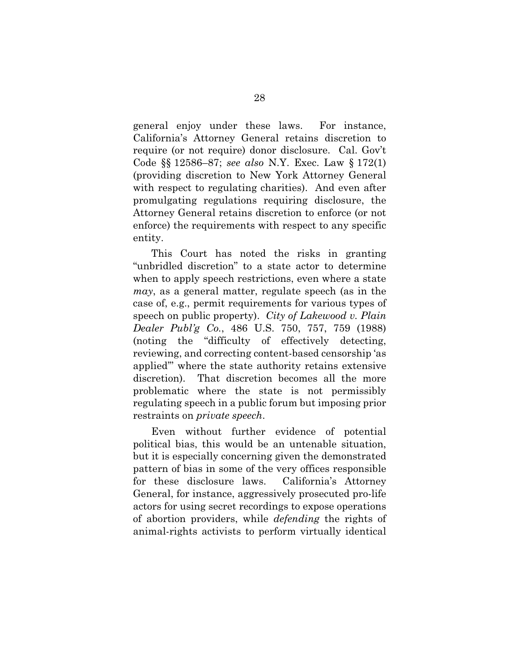general enjoy under these laws. For instance, California's Attorney General retains discretion to require (or not require) donor disclosure. Cal. Gov't Code §§ 12586–87; *see also* N.Y. Exec. Law § 172(1) (providing discretion to New York Attorney General with respect to regulating charities). And even after promulgating regulations requiring disclosure, the Attorney General retains discretion to enforce (or not enforce) the requirements with respect to any specific entity.

This Court has noted the risks in granting "unbridled discretion" to a state actor to determine when to apply speech restrictions, even where a state *may*, as a general matter, regulate speech (as in the case of, e.g., permit requirements for various types of speech on public property). *City of Lakewood v. Plain Dealer Publ'g Co.*, 486 U.S. 750, 757, 759 (1988) (noting the "difficulty of effectively detecting, reviewing, and correcting content-based censorship 'as applied'" where the state authority retains extensive discretion). That discretion becomes all the more problematic where the state is not permissibly regulating speech in a public forum but imposing prior restraints on *private speech*.

Even without further evidence of potential political bias, this would be an untenable situation, but it is especially concerning given the demonstrated pattern of bias in some of the very offices responsible for these disclosure laws. California's Attorney General, for instance, aggressively prosecuted pro-life actors for using secret recordings to expose operations of abortion providers, while *defending* the rights of animal-rights activists to perform virtually identical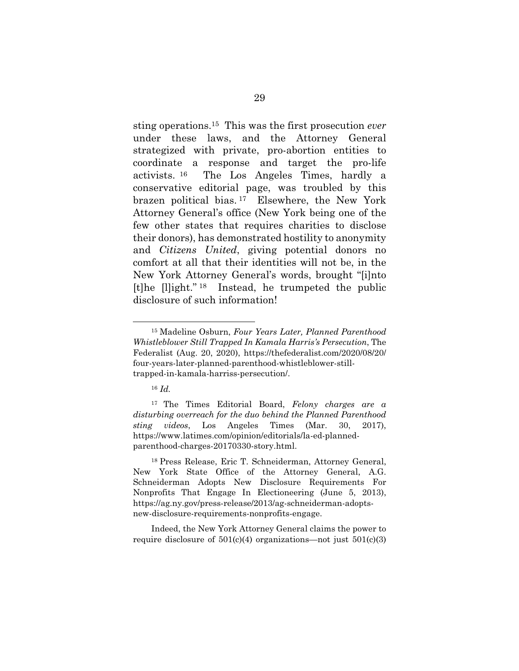sting operations.15 This was the first prosecution *ever* under these laws, and the Attorney General strategized with private, pro-abortion entities to coordinate a response and target the pro-life activists. 16 The Los Angeles Times, hardly a conservative editorial page, was troubled by this brazen political bias. 17 Elsewhere, the New York Attorney General's office (New York being one of the few other states that requires charities to disclose their donors), has demonstrated hostility to anonymity and *Citizens United*, giving potential donors no comfort at all that their identities will not be, in the New York Attorney General's words, brought "[i]nto [t]he [l]ight." 18 Instead, he trumpeted the public disclosure of such information!

1

17 The Times Editorial Board, *Felony charges are a disturbing overreach for the duo behind the Planned Parenthood sting videos*, Los Angeles Times (Mar. 30, 2017), https://www.latimes.com/opinion/editorials/la-ed-plannedparenthood-charges-20170330-story.html.

18 Press Release, Eric T. Schneiderman, Attorney General, New York State Office of the Attorney General, A.G. Schneiderman Adopts New Disclosure Requirements For Nonprofits That Engage In Electioneering (June 5, 2013), https://ag.ny.gov/press-release/2013/ag-schneiderman-adoptsnew-disclosure-requirements-nonprofits-engage.

Indeed, the New York Attorney General claims the power to require disclosure of  $501(c)(4)$  organizations—not just  $501(c)(3)$ 

<sup>15</sup> Madeline Osburn, *Four Years Later, Planned Parenthood Whistleblower Still Trapped In Kamala Harris's Persecution*, The Federalist (Aug. 20, 2020), https://thefederalist.com/2020/08/20/ four-years-later-planned-parenthood-whistleblower-stilltrapped-in-kamala-harriss-persecution/.

<sup>16</sup> *Id.*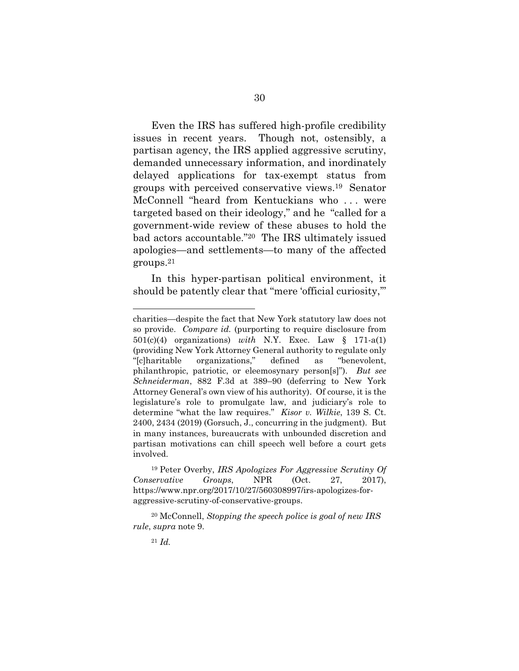Even the IRS has suffered high-profile credibility issues in recent years. Though not, ostensibly, a partisan agency, the IRS applied aggressive scrutiny, demanded unnecessary information, and inordinately delayed applications for tax-exempt status from groups with perceived conservative views.19 Senator McConnell "heard from Kentuckians who . . . were targeted based on their ideology," and he "called for a government-wide review of these abuses to hold the bad actors accountable."20 The IRS ultimately issued apologies—and settlements—to many of the affected groups.21

In this hyper-partisan political environment, it should be patently clear that "mere 'official curiosity,'"

<u>.</u>

charities—despite the fact that New York statutory law does not so provide. *Compare id.* (purporting to require disclosure from 501(c)(4) organizations) *with* N.Y. Exec. Law § 171-a(1) (providing New York Attorney General authority to regulate only "[c]haritable organizations," defined as "benevolent, philanthropic, patriotic, or eleemosynary person[s]"). *But see Schneiderman*, 882 F.3d at 389–90 (deferring to New York Attorney General's own view of his authority). Of course, it is the legislature's role to promulgate law, and judiciary's role to determine "what the law requires." *Kisor v. Wilkie*, 139 S. Ct. 2400, 2434 (2019) (Gorsuch, J., concurring in the judgment). But in many instances, bureaucrats with unbounded discretion and partisan motivations can chill speech well before a court gets involved.

<sup>19</sup> Peter Overby, *IRS Apologizes For Aggressive Scrutiny Of Conservative Groups*, NPR (Oct. 27, 2017), https://www.npr.org/2017/10/27/560308997/irs-apologizes-foraggressive-scrutiny-of-conservative-groups.

<sup>20</sup> McConnell, *Stopping the speech police is goal of new IRS rule*, *supra* note 9.

<sup>21</sup> *Id.*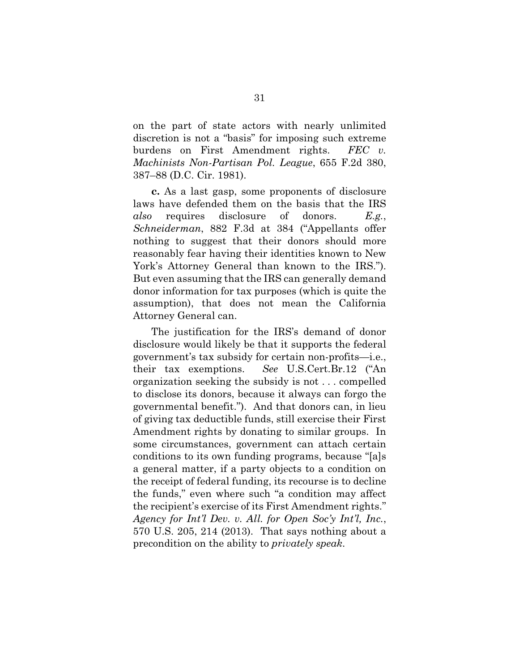on the part of state actors with nearly unlimited discretion is not a "basis" for imposing such extreme burdens on First Amendment rights. *FEC v. Machinists Non-Partisan Pol. League*, 655 F.2d 380, 387–88 (D.C. Cir. 1981).

**c.** As a last gasp, some proponents of disclosure laws have defended them on the basis that the IRS *also* requires disclosure of donors. *E.g.*, *Schneiderman*, 882 F.3d at 384 ("Appellants offer nothing to suggest that their donors should more reasonably fear having their identities known to New York's Attorney General than known to the IRS."). But even assuming that the IRS can generally demand donor information for tax purposes (which is quite the assumption), that does not mean the California Attorney General can.

The justification for the IRS's demand of donor disclosure would likely be that it supports the federal government's tax subsidy for certain non-profits—i.e., their tax exemptions. *See* U.S.Cert.Br.12 ("An organization seeking the subsidy is not . . . compelled to disclose its donors, because it always can forgo the governmental benefit."). And that donors can, in lieu of giving tax deductible funds, still exercise their First Amendment rights by donating to similar groups. In some circumstances, government can attach certain conditions to its own funding programs, because "[a]s a general matter, if a party objects to a condition on the receipt of federal funding, its recourse is to decline the funds," even where such "a condition may affect the recipient's exercise of its First Amendment rights." *Agency for Int'l Dev. v. All. for Open Soc'y Int'l, Inc.*, 570 U.S. 205, 214 (2013). That says nothing about a precondition on the ability to *privately speak*.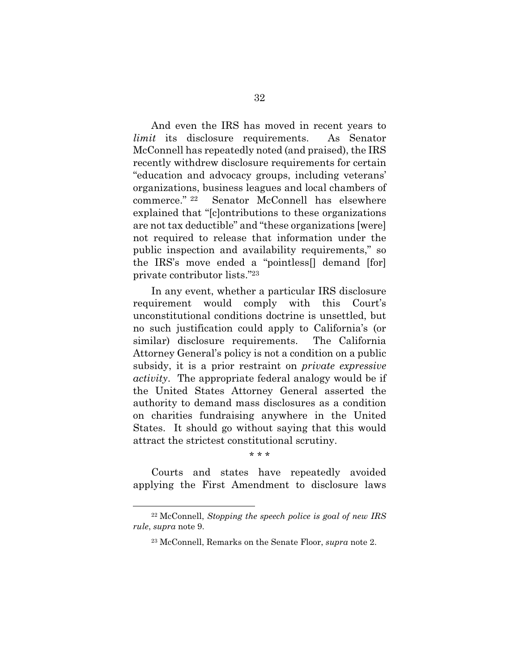And even the IRS has moved in recent years to *limit* its disclosure requirements. As Senator McConnell has repeatedly noted (and praised), the IRS recently withdrew disclosure requirements for certain "education and advocacy groups, including veterans' organizations, business leagues and local chambers of commerce." 22 Senator McConnell has elsewhere explained that "[c]ontributions to these organizations are not tax deductible" and "these organizations [were] not required to release that information under the public inspection and availability requirements," so the IRS's move ended a "pointless[] demand [for] private contributor lists."23

In any event, whether a particular IRS disclosure requirement would comply with this Court's unconstitutional conditions doctrine is unsettled, but no such justification could apply to California's (or similar) disclosure requirements. The California Attorney General's policy is not a condition on a public subsidy, it is a prior restraint on *private expressive activity*. The appropriate federal analogy would be if the United States Attorney General asserted the authority to demand mass disclosures as a condition on charities fundraising anywhere in the United States. It should go without saying that this would attract the strictest constitutional scrutiny.

#### \* \* \*

Courts and states have repeatedly avoided applying the First Amendment to disclosure laws

1

<sup>22</sup> McConnell, *Stopping the speech police is goal of new IRS rule*, *supra* note 9.

<sup>23</sup> McConnell, Remarks on the Senate Floor, *supra* note 2.